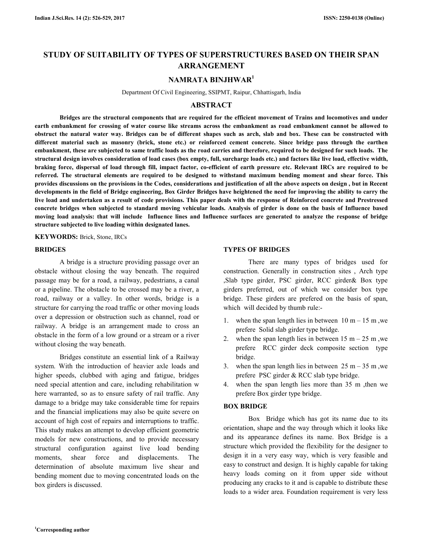# **STUDY OF SUITABILITY OF TYPES OF SUPERSTRUCTURES BASED ON THEIR SPAN ARRANGEMENT**

### **NAMRATA BINJHWAR<sup>1</sup>**

Department Of Civil Engineering, SSIPMT, Raipur, Chhattisgarh, India

### **ABSTRACT**

 **Bridges are the structural components that are required for the efficient movement of Trains and locomotives and under earth embankment for crossing of water course like streams across the embankment as road embankment cannot be allowed to obstruct the natural water way. Bridges can be of different shapes such as arch, slab and box. These can be constructed with different material such as masonry (brick, stone etc.) or reinforced cement concrete. Since bridge pass through the earthen embankment, these are subjected to same traffic loads as the road carries and therefore, required to be designed for such loads. The structural design involves consideration of load cases (box empty, full, surcharge loads etc.) and factors like live load, effective width, braking force, dispersal of load through fill, impact factor, co-efficient of earth pressure etc. Relevant IRCs are required to be referred. The structural elements are required to be designed to withstand maximum bending moment and shear force. This provides discussions on the provisions in the Codes, considerations and justification of all the above aspects on design , but in Recent developments in the field of Bridge engineering, Box Girder Bridges have heightened the need for improving the ability to carry the live load and undertaken as a result of code provisions. This paper deals with the response of Reinforced concrete and Prestressed concrete bridges when subjected to standard moving vehicular loads. Analysis of girder is done on the basis of Influence based moving load analysis: that will include Influence lines and Influence surfaces are generated to analyze the response of bridge structure subjected to live loading within designated lanes.** 

**KEYWORDS:** Brick, Stone, IRCs

#### **BRIDGES**

 A bridge is a structure providing passage over an obstacle without closing the way beneath. The required passage may be for a road, a railway, pedestrians, a canal or a pipeline. The obstacle to be crossed may be a river, a road, railway or a valley. In other words, bridge is a structure for carrying the road traffic or other moving loads over a depression or obstruction such as channel, road or railway. A bridge is an arrangement made to cross an obstacle in the form of a low ground or a stream or a river without closing the way beneath.

 Bridges constitute an essential link of a Railway system. With the introduction of heavier axle loads and higher speeds, clubbed with aging and fatigue, bridges need special attention and care, including rehabilitation w here warranted, so as to ensure safety of rail traffic. Any damage to a bridge may take considerable time for repairs and the financial implications may also be quite severe on account of high cost of repairs and interruptions to traffic. This study makes an attempt to develop efficient geometric models for new constructions, and to provide necessary structural configuration against live load bending moments, shear force and displacements. The determination of absolute maximum live shear and bending moment due to moving concentrated loads on the box girders is discussed.

#### **TYPES OF BRIDGES**

 There are many types of bridges used for construction. Generally in construction sites , Arch type ,Slab type girder, PSC girder, RCC girder& Box type girders preferred, out of which we consider box type bridge. These girders are prefered on the basis of span, which will decided by thumb rule:-

- 1. when the span length lies in between  $10 \text{ m} 15 \text{ m}$ , we prefere Solid slab girder type bridge.
- 2. when the span length lies in between  $15 \text{ m} 25 \text{ m}$ , we prefere RCC girder deck composite section type bridge.
- 3. when the span length lies in between  $25 \text{ m} 35 \text{ m}$ , we prefere PSC girder & RCC slab type bridge.
- 4. when the span length lies more than 35 m ,then we prefere Box girder type bridge.

#### **BOX BRIDGE**

 Box Bridge which has got its name due to its orientation, shape and the way through which it looks like and its appearance defines its name. Box Bridge is a structure which provided the flexibility for the designer to design it in a very easy way, which is very feasible and easy to construct and design. It is highly capable for taking heavy loads coming on it from upper side without producing any cracks to it and is capable to distribute these loads to a wider area. Foundation requirement is very less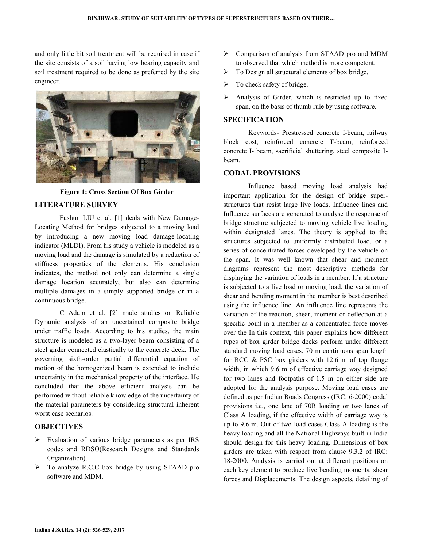and only little bit soil treatment will be required in case if the site consists of a soil having low bearing capacity and soil treatment required to be done as preferred by the site engineer.



**Figure 1: Cross Section Of Box Girder** 

# **LITERATURE SURVEY**

 Fushun LIU et al. [1] deals with New Damage-Locating Method for bridges subjected to a moving load by introducing a new moving load damage-locating indicator (MLDI). From his study a vehicle is modeled as a moving load and the damage is simulated by a reduction of stiffness properties of the elements. His conclusion indicates, the method not only can determine a single damage location accurately, but also can determine multiple damages in a simply supported bridge or in a continuous bridge.

 C Adam et al. [2] made studies on Reliable Dynamic analysis of an uncertained composite bridge under traffic loads. According to his studies, the main structure is modeled as a two-layer beam consisting of a steel girder connected elastically to the concrete deck. The governing sixth-order partial differential equation of motion of the homogenized beam is extended to include uncertainty in the mechanical property of the interface. He concluded that the above efficient analysis can be performed without reliable knowledge of the uncertainty of the material parameters by considering structural inherent worst case scenarios.

# **OBJECTIVES**

- Evaluation of various bridge parameters as per IRS codes and RDSO(Research Designs and Standards Organization).
- To analyze R.C.C box bridge by using STAAD pro software and MDM.
- Comparison of analysis from STAAD pro and MDM to observed that which method is more competent.
- > To Design all structural elements of box bridge.
- $\triangleright$  To check safety of bridge.
- Analysis of Girder, which is restricted up to fixed span, on the basis of thumb rule by using software.

### **SPECIFICATION**

 Keywords- Prestressed concrete I-beam, railway block cost, reinforced concrete T-beam, reinforced concrete I- beam, sacrificial shuttering, steel composite Ibeam.

### **CODAL PROVISIONS**

 Influence based moving load analysis had important application for the design of bridge superstructures that resist large live loads. Influence lines and Influence surfaces are generated to analyse the response of bridge structure subjected to moving vehicle live loading within designated lanes. The theory is applied to the structures subjected to uniformly distributed load, or a series of concentrated forces developed by the vehicle on the span. It was well known that shear and moment diagrams represent the most descriptive methods for displaying the variation of loads in a member. If a structure is subjected to a live load or moving load, the variation of shear and bending moment in the member is best described using the influence line. An influence line represents the variation of the reaction, shear, moment or deflection at a specific point in a member as a concentrated force moves over the In this context, this paper explains how different types of box girder bridge decks perform under different standard moving load cases. 70 m continuous span length for RCC & PSC box girders with 12.6 m of top flange width, in which 9.6 m of effective carriage way designed for two lanes and footpaths of 1.5 m on either side are adopted for the analysis purpose. Moving load cases are defined as per Indian Roads Congress (IRC: 6-2000) codal provisions i.e., one lane of 70R loading or two lanes of Class A loading, if the effective width of carriage way is up to 9.6 m. Out of two load cases Class A loading is the heavy loading and all the National Highways built in India should design for this heavy loading. Dimensions of box girders are taken with respect from clause 9.3.2 of IRC: 18-2000. Analysis is carried out at different positions on each key element to produce live bending moments, shear forces and Displacements. The design aspects, detailing of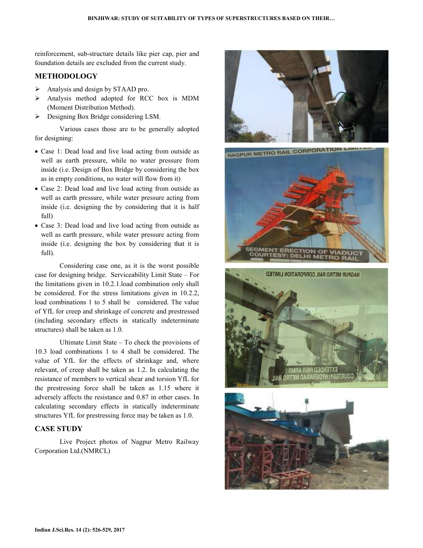reinforcement, sub-structure details like pier cap, pier and foundation details are excluded from the current study.

# **METHODOLOGY**

- $\triangleright$  Analysis and design by STAAD pro.
- Analysis method adopted for RCC box is MDM (Moment Distribution Method).
- **Designing Box Bridge considering LSM.**

 Various cases those are to be generally adopted for designing:

- Case 1: Dead load and live load acting from outside as well as earth pressure, while no water pressure from inside (i.e. Design of Box Bridge by considering the box as in empty conditions, no water will flow from it)
- Case 2: Dead load and live load acting from outside as well as earth pressure, while water pressure acting from inside (i.e. designing the by considering that it is half full)
- Case 3: Dead load and live load acting from outside as well as earth pressure, while water pressure acting from inside (i.e. designing the box by considering that it is full).

 Considering case one, as it is the worst possible case for designing bridge. Serviceability Limit State – For the limitations given in 10.2.1.load combination only shall be considered. For the stress limitations given in 10.2.2, load combinations 1 to 5 shall be considered. The value of YfL for creep and shrinkage of concrete and prestressed (including secondary effects in statically indeterminate structures) shall be taken as 1.0.

 Ultimate Limit State – To check the provisions of 10.3 load combinations 1 to 4 shall be considered. The value of YfL for the effects of shrinkage and, where relevant, of creep shall be taken as 1.2. In calculating the resistance of members to vertical shear and torsion YfL for the prestressing force shall be taken as 1.15 where it adversely affects the resistance and 0.87 in other cases. In calculating secondary effects in statically indeterminate structures YfL for prestressing force may be taken as 1.0.

### **CASE STUDY**

 Live Project photos of Nagpur Metro Railway Corporation Ltd.(NMRCL)